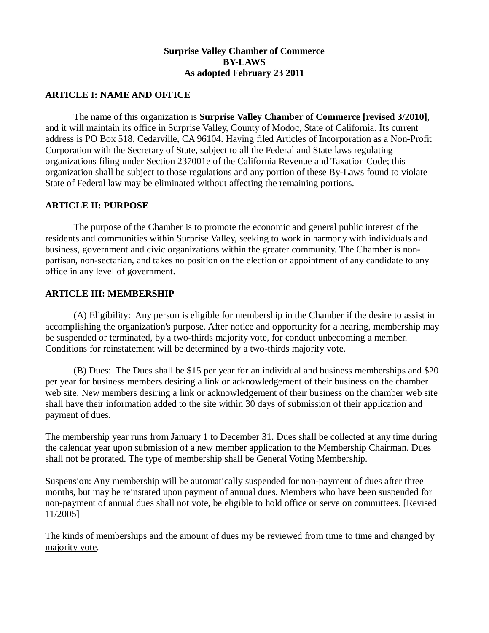# **Surprise Valley Chamber of Commerce BY-LAWS As adopted February 23 2011**

## **ARTICLE I: NAME AND OFFICE**

 The name of this organization is **Surprise Valley Chamber of Commerce [revised 3/2010]**, and it will maintain its office in Surprise Valley, County of Modoc, State of California. Its current address is PO Box 518, Cedarville, CA 96104. Having filed Articles of Incorporation as a Non-Profit Corporation with the Secretary of State, subject to all the Federal and State laws regulating organizations filing under Section 237001e of the California Revenue and Taxation Code; this organization shall be subject to those regulations and any portion of these By-Laws found to violate State of Federal law may be eliminated without affecting the remaining portions.

### **ARTICLE II: PURPOSE**

 The purpose of the Chamber is to promote the economic and general public interest of the residents and communities within Surprise Valley, seeking to work in harmony with individuals and business, government and civic organizations within the greater community. The Chamber is nonpartisan, non-sectarian, and takes no position on the election or appointment of any candidate to any office in any level of government.

### **ARTICLE III: MEMBERSHIP**

 (A) Eligibility: Any person is eligible for membership in the Chamber if the desire to assist in accomplishing the organization's purpose. After notice and opportunity for a hearing, membership may be suspended or terminated, by a two-thirds majority vote, for conduct unbecoming a member. Conditions for reinstatement will be determined by a two-thirds majority vote.

 (B) Dues: The Dues shall be \$15 per year for an individual and business memberships and \$20 per year for business members desiring a link or acknowledgement of their business on the chamber web site. New members desiring a link or acknowledgement of their business on the chamber web site shall have their information added to the site within 30 days of submission of their application and payment of dues.

The membership year runs from January 1 to December 31. Dues shall be collected at any time during the calendar year upon submission of a new member application to the Membership Chairman. Dues shall not be prorated. The type of membership shall be General Voting Membership.

Suspension: Any membership will be automatically suspended for non-payment of dues after three months, but may be reinstated upon payment of annual dues. Members who have been suspended for non-payment of annual dues shall not vote, be eligible to hold office or serve on committees. [Revised 11/2005]

The kinds of memberships and the amount of dues my be reviewed from time to time and changed by majority vote.